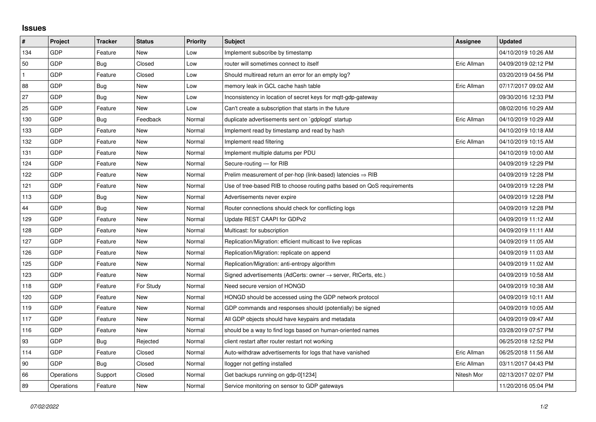## **Issues**

| $\vert$ #    | Project    | <b>Tracker</b> | <b>Status</b> | <b>Priority</b> | <b>Subject</b>                                                             | Assignee    | <b>Updated</b>      |
|--------------|------------|----------------|---------------|-----------------|----------------------------------------------------------------------------|-------------|---------------------|
| 134          | GDP        | Feature        | <b>New</b>    | Low             | Implement subscribe by timestamp                                           |             | 04/10/2019 10:26 AM |
| 50           | GDP        | Bug            | Closed        | Low             | router will sometimes connect to itself                                    | Eric Allman | 04/09/2019 02:12 PM |
| $\mathbf{1}$ | GDP        | Feature        | Closed        | Low             | Should multiread return an error for an empty log?                         |             | 03/20/2019 04:56 PM |
| 88           | GDP        | <b>Bug</b>     | New           | Low             | memory leak in GCL cache hash table                                        | Eric Allman | 07/17/2017 09:02 AM |
| 27           | GDP        | Bug            | <b>New</b>    | Low             | Inconsistency in location of secret keys for mqtt-gdp-gateway              |             | 09/30/2016 12:33 PM |
| 25           | GDP        | Feature        | New           | Low             | Can't create a subscription that starts in the future                      |             | 08/02/2016 10:29 AM |
| 130          | GDP        | Bug            | Feedback      | Normal          | duplicate advertisements sent on `gdplogd` startup                         | Eric Allman | 04/10/2019 10:29 AM |
| 133          | GDP        | Feature        | New           | Normal          | Implement read by timestamp and read by hash                               |             | 04/10/2019 10:18 AM |
| 132          | GDP        | Feature        | New           | Normal          | Implement read filtering                                                   | Eric Allman | 04/10/2019 10:15 AM |
| 131          | GDP        | Feature        | <b>New</b>    | Normal          | Implement multiple datums per PDU                                          |             | 04/10/2019 10:00 AM |
| 124          | GDP        | Feature        | New           | Normal          | Secure-routing - for RIB                                                   |             | 04/09/2019 12:29 PM |
| 122          | GDP        | Feature        | New           | Normal          | Prelim measurement of per-hop (link-based) latencies $\Rightarrow$ RIB     |             | 04/09/2019 12:28 PM |
| 121          | GDP        | Feature        | <b>New</b>    | Normal          | Use of tree-based RIB to choose routing paths based on QoS requirements    |             | 04/09/2019 12:28 PM |
| 113          | GDP        | <b>Bug</b>     | New           | Normal          | Advertisements never expire                                                |             | 04/09/2019 12:28 PM |
| 44           | GDP        | <b>Bug</b>     | <b>New</b>    | Normal          | Router connections should check for conflicting logs                       |             | 04/09/2019 12:28 PM |
| 129          | GDP        | Feature        | <b>New</b>    | Normal          | Update REST CAAPI for GDPv2                                                |             | 04/09/2019 11:12 AM |
| 128          | GDP        | Feature        | New           | Normal          | Multicast: for subscription                                                |             | 04/09/2019 11:11 AM |
| 127          | GDP        | Feature        | <b>New</b>    | Normal          | Replication/Migration: efficient multicast to live replicas                |             | 04/09/2019 11:05 AM |
| 126          | GDP        | Feature        | New           | Normal          | Replication/Migration: replicate on append                                 |             | 04/09/2019 11:03 AM |
| 125          | GDP        | Feature        | New           | Normal          | Replication/Migration: anti-entropy algorithm                              |             | 04/09/2019 11:02 AM |
| 123          | GDP        | Feature        | <b>New</b>    | Normal          | Signed advertisements (AdCerts: owner $\rightarrow$ server, RtCerts, etc.) |             | 04/09/2019 10:58 AM |
| 118          | GDP        | Feature        | For Study     | Normal          | Need secure version of HONGD                                               |             | 04/09/2019 10:38 AM |
| 120          | GDP        | Feature        | New           | Normal          | HONGD should be accessed using the GDP network protocol                    |             | 04/09/2019 10:11 AM |
| 119          | GDP        | Feature        | New           | Normal          | GDP commands and responses should (potentially) be signed                  |             | 04/09/2019 10:05 AM |
| 117          | GDP        | Feature        | New           | Normal          | All GDP objects should have keypairs and metadata                          |             | 04/09/2019 09:47 AM |
| 116          | GDP        | Feature        | New           | Normal          | should be a way to find logs based on human-oriented names                 |             | 03/28/2019 07:57 PM |
| 93           | GDP        | Bug            | Rejected      | Normal          | client restart after router restart not working                            |             | 06/25/2018 12:52 PM |
| 114          | GDP        | Feature        | Closed        | Normal          | Auto-withdraw advertisements for logs that have vanished                   | Eric Allman | 06/25/2018 11:56 AM |
| 90           | GDP        | <b>Bug</b>     | Closed        | Normal          | llogger not getting installed                                              | Eric Allman | 03/11/2017 04:43 PM |
| 66           | Operations | Support        | Closed        | Normal          | Get backups running on gdp-0[1234]                                         | Nitesh Mor  | 02/13/2017 02:07 PM |
| 89           | Operations | Feature        | New           | Normal          | Service monitoring on sensor to GDP gateways                               |             | 11/20/2016 05:04 PM |